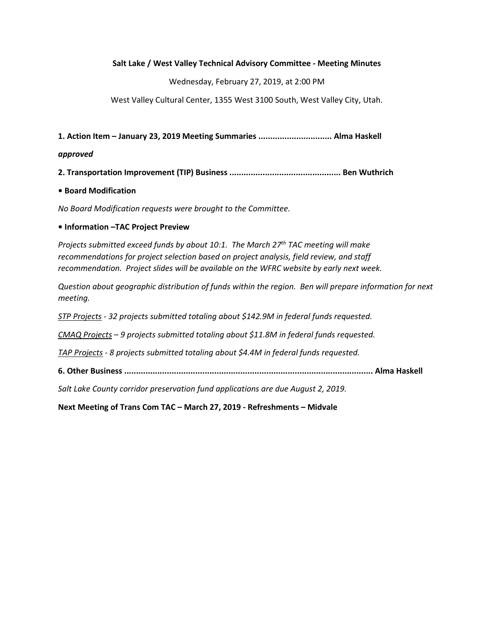### Salt Lake / West Valley Technical Advisory Committee - Meeting Minutes

Wednesday, February 27, 2019, at 2:00 PM

West Valley Cultural Center, 1355 West 3100 South, West Valley City, Utah.

1. Action Item – January 23, 2019 Meeting Summaries ............................... Alma Haskell

#### approved

2. Transportation Improvement (TIP) Business ............................................... Ben Wuthrich

### • Board Modification

No Board Modification requests were brought to the Committee.

### • Information –TAC Project Preview

Projects submitted exceed funds by about 10:1. The March 27<sup>th</sup> TAC meeting will make recommendations for project selection based on project analysis, field review, and staff recommendation. Project slides will be available on the WFRC website by early next week.

Question about geographic distribution of funds within the region. Ben will prepare information for next meeting.

STP Projects - 32 projects submitted totaling about \$142.9M in federal funds requested.

 $CMAQ$  Projects - 9 projects submitted totaling about \$11.8M in federal funds requested.

TAP Projects - 8 projects submitted totaling about \$4.4M in federal funds requested.

6. Other Business ......................................................................................................... Alma Haskell

Salt Lake County corridor preservation fund applications are due August 2, 2019.

Next Meeting of Trans Com TAC – March 27, 2019 - Refreshments – Midvale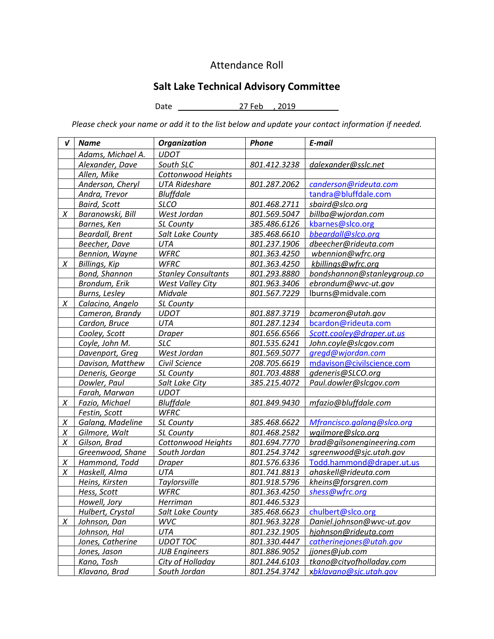# Attendance Roll

# Salt Lake Technical Advisory Committee

Date \_\_ 27 Feb , 2019 \_\_

Please check your name or add it to the list below and update your contact information if needed.

| V      | <b>Name</b>            | <b>Organization</b>        | <b>Phone</b> | E-mail                      |
|--------|------------------------|----------------------------|--------------|-----------------------------|
|        | Adams, Michael A.      | <b>UDOT</b>                |              |                             |
|        | Alexander, Dave        | South SLC                  | 801.412.3238 | dalexander@sslc.net         |
|        | Allen, Mike            | <b>Cottonwood Heights</b>  |              |                             |
|        | Anderson, Cheryl       | <b>UTA Rideshare</b>       | 801.287.2062 | canderson@rideuta.com       |
|        | Andra, Trevor          | <b>Bluffdale</b>           |              | tandra@bluffdale.com        |
|        | <b>Baird, Scott</b>    | <b>SLCO</b>                | 801.468.2711 | sbaird@slco.org             |
| X      | Baranowski, Bill       | West Jordan                | 801.569.5047 | billba@wjordan.com          |
|        | Barnes, Ken            | SL County                  | 385.486.6126 | kbarnes@slco.org            |
|        | <b>Beardall, Brent</b> | Salt Lake County           | 385.468.6610 | bbeardall@slco.org          |
|        | Beecher, Dave          | <b>UTA</b>                 | 801.237.1906 | dbeecher@rideuta.com        |
|        | Bennion, Wayne         | <b>WFRC</b>                | 801.363.4250 | wbennion@wfrc.org           |
| X      | Billings, Kip          | <b>WFRC</b>                | 801.363.4250 | kbillings@wfrc.org          |
|        | <b>Bond, Shannon</b>   | <b>Stanley Consultants</b> | 801.293.8880 | bondshannon@stanleygroup.co |
|        | Brondum, Erik          | <b>West Valley City</b>    | 801.963.3406 | ebrondum@wvc-ut.gov         |
|        | Burns, Lesley          | Midvale                    | 801.567.7229 | lburns@midvale.com          |
| X      | Calacino, Angelo       | SL County                  |              |                             |
|        | Cameron, Brandy        | <b>UDOT</b>                | 801.887.3719 | bcameron@utah.gov           |
|        | Cardon, Bruce          | UTA                        | 801.287.1234 | bcardon@rideuta.com         |
|        | Cooley, Scott          | <b>Draper</b>              | 801.656.6566 | Scott.cooley@draper.ut.us   |
|        | Coyle, John M.         | <b>SLC</b>                 | 801.535.6241 | John.coyle@slcgov.com       |
|        | Davenport, Greg        | West Jordan                | 801.569.5077 | gregd@wjordan.com           |
|        | Davison, Matthew       | Civil Science              | 208.705.6619 | mdavison@civilscience.com   |
|        | Deneris, George        | SL County                  | 801.703.4888 | gdeneris@SLCO.org           |
|        | Dowler, Paul           | Salt Lake City             | 385.215.4072 | Paul.dowler@slcgov.com      |
|        | Farah, Marwan          | <b>UDOT</b>                |              |                             |
| X      | Fazio, Michael         | <b>Bluffdale</b>           | 801.849.9430 | mfazio@bluffdale.com        |
|        | Festin, Scott          | <b>WFRC</b>                |              |                             |
| $\chi$ | Galang, Madeline       | SL County                  | 385.468.6622 | Mfrancisco.galang@slco.org  |
| Χ      | Gilmore, Walt          | SL County                  | 801.468.2582 | wgilmore@slco.org           |
| X      | Gilson, Brad           | Cottonwood Heights         | 801.694.7770 | brad@gilsonengineering.com  |
|        | Greenwood, Shane       | South Jordan               | 801.254.3742 | sgreenwood@sjc.utah.gov     |
| X      | Hammond, Todd          | <b>Draper</b>              | 801.576.6336 | Todd.hammond@draper.ut.us   |
| X      | Haskell, Alma          | <b>UTA</b>                 | 801.741.8813 | ahaskell@rideuta.com        |
|        | Heins, Kirsten         | Taylorsville               | 801.918.5796 | kheins@forsgren.com         |
|        | Hess, Scott            | <b>WFRC</b>                | 801.363.4250 | shess@wfrc.org              |
|        | Howell, Jory           | <b>Herriman</b>            | 801.446.5323 |                             |
|        | Hulbert, Crystal       | Salt Lake County           | 385.468.6623 | chulbert@slco.org           |
| $\chi$ | Johnson, Dan           | <b>WVC</b>                 | 801.963.3228 | Daniel.johnson@wvc-ut.gov   |
|        | Johnson, Hal           | UTA                        | 801.232.1905 | hjohnson@rideuta.com        |
|        | Jones, Catherine       | <b>UDOT TOC</b>            | 801.330.4447 | catherinejones@utah.gov     |
|        | Jones, Jason           | <b>JUB Engineers</b>       | 801.886.9052 | jjones@jub.com              |
|        | Kano, Tosh             | City of Holladay           | 801.244.6103 | tkano@cityofholladay.com    |
|        | Klavano, Brad          | South Jordan               | 801.254.3742 | xbklavano@sjc.utah.gov      |